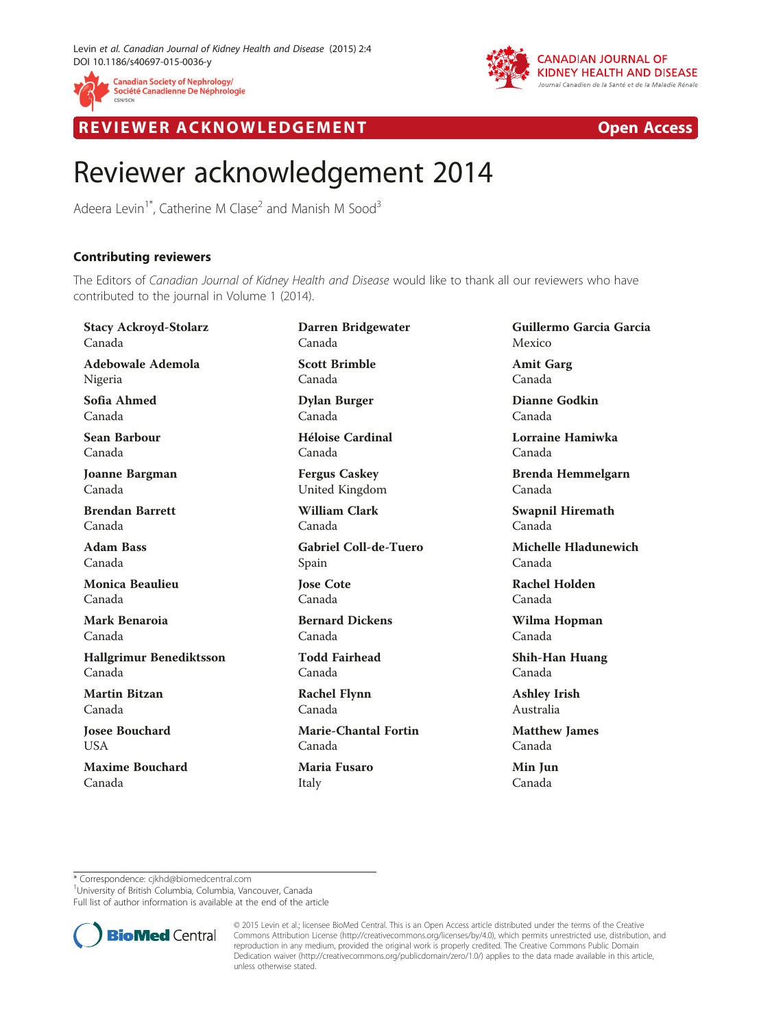



R EVI EW E R ACKNOW L EDG EM EN T Open Access

## Reviewer acknowledgement 2014

Adeera Levin<sup>1\*</sup>, Catherine M Clase<sup>2</sup> and Manish M Sood<sup>3</sup>

## Contributing reviewers

The Editors of Canadian Journal of Kidney Health and Disease would like to thank all our reviewers who have contributed to the journal in Volume 1 (2014).

Stacy Ackroyd-Stolarz Canada Adebowale Ademola Nigeria Sofia Ahmed Canada Sean Barbour Canada Joanne Bargman Canada Brendan Barrett Canada Adam Bass Canada Monica Beaulieu Canada Mark Benaroia Canada Hallgrimur Benediktsson Canada Martin Bitzan Canada Josee Bouchard **I** ISA Maxime Bouchard Canada

Darren Bridgewater Canada Scott Brimble Canada

Dylan Burger Canada Héloise Cardinal

Canada

Fergus Caskey United Kingdom

William Clark Canada

Gabriel Coll-de-Tuero Spain

Jose Cote Canada

Bernard Dickens Canada

Todd Fairhead Canada

Rachel Flynn Canada

Marie-Chantal Fortin Canada Maria Fusaro

Italy

Guillermo Garcia Garcia Mexico

Amit Garg Canada

Dianne Godkin Canada

Lorraine Hamiwka Canada

Brenda Hemmelgarn Canada

Swapnil Hiremath Canada

Michelle Hladunewich Canada

Rachel Holden Canada

Wilma Hopman Canada

Shih-Han Huang Canada

Ashley Irish Australia

Matthew James Canada

Min Jun Canada

\* Correspondence: [cjkhd@biomedcentral.com](mailto:cjkhd@biomedcentral.com) <sup>1</sup>

<sup>1</sup>University of British Columbia, Columbia, Vancouver, Canada

Full list of author information is available at the end of the article



© 2015 Levin et al.; licensee BioMed Central. This is an Open Access article distributed under the terms of the Creative Commons Attribution License [\(http://creativecommons.org/licenses/by/4.0\)](http://creativecommons.org/licenses/by/4.0), which permits unrestricted use, distribution, and reproduction in any medium, provided the original work is properly credited. The Creative Commons Public Domain Dedication waiver [\(http://creativecommons.org/publicdomain/zero/1.0/](http://creativecommons.org/publicdomain/zero/1.0/)) applies to the data made available in this article, unless otherwise stated.